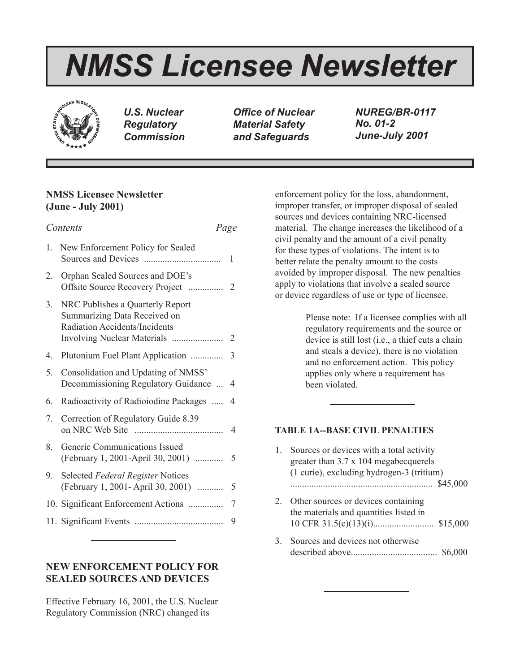# *NMSS Licensee Newsletter*



*U.S. Nuclear Regulatory Commission* *Office of Nuclear Material Safety and Safeguards*

*NUREG/BR-0117 No. 01-2 June-July 2001*

# **NMSS Licensee Newsletter (June - July 2001)**

|    | Contents<br>Page                                                                                  |                |
|----|---------------------------------------------------------------------------------------------------|----------------|
| 1. | New Enforcement Policy for Sealed                                                                 | 1              |
| 2. | Orphan Sealed Sources and DOE's                                                                   |                |
| 3. | NRC Publishes a Quarterly Report<br>Summarizing Data Received on<br>Radiation Accidents/Incidents |                |
| 4. | Plutonium Fuel Plant Application                                                                  | 3              |
| 5. | Consolidation and Updating of NMSS'<br>Decommissioning Regulatory Guidance                        | $\overline{4}$ |
| 6. | Radioactivity of Radioiodine Packages                                                             | 4              |
| 7. | Correction of Regulatory Guide 8.39                                                               | 4              |
| 8. | Generic Communications Issued                                                                     |                |
| 9. | Selected Federal Register Notices<br>(February 1, 2001- April 30, 2001)                           | 5              |
|    | 10. Significant Enforcement Actions                                                               | 7              |
|    |                                                                                                   | 9              |
|    |                                                                                                   |                |

# **NEW ENFORCEMENT POLICY FOR SEALED SOURCES AND DEVICES**

Effective February 16, 2001, the U.S. Nuclear Regulatory Commission (NRC) changed its

enforcement policy for the loss, abandonment, improper transfer, or improper disposal of sealed sources and devices containing NRC-licensed material. The change increases the likelihood of a civil penalty and the amount of a civil penalty for these types of violations. The intent is to better relate the penalty amount to the costs avoided by improper disposal. The new penalties apply to violations that involve a sealed source or device regardless of use or type of licensee.

> Please note: If a licensee complies with all regulatory requirements and the source or device is still lost (i.e., a thief cuts a chain and steals a device), there is no violation and no enforcement action. This policy applies only where a requirement has been violated.

## **TABLE 1A--BASE CIVIL PENALTIES**

| 1. | Sources or devices with a total activity<br>greater than 3.7 x 104 megabecquerels<br>(1 curie), excluding hydrogen-3 (tritium) |
|----|--------------------------------------------------------------------------------------------------------------------------------|
|    | \$45,000                                                                                                                       |
|    | Other sources or devices containing<br>the materials and quantities listed in<br>\$15,000                                      |
| 3. | Sources and devices not otherwise<br>S6.                                                                                       |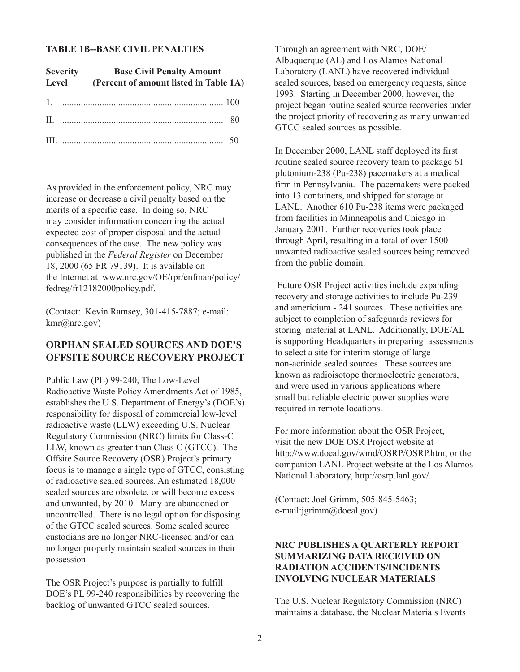#### **TABLE 1B--BASE CIVIL PENALTIES**

| <b>Severity</b> |  | <b>Base Civil Penalty Amount</b><br>Level (Percent of amount listed in Table 1A) |  |  |
|-----------------|--|----------------------------------------------------------------------------------|--|--|
|                 |  |                                                                                  |  |  |
|                 |  | II. $\ldots$ 80                                                                  |  |  |
|                 |  |                                                                                  |  |  |

As provided in the enforcement policy, NRC may increase or decrease a civil penalty based on the merits of a specific case. In doing so, NRC may consider information concerning the actual expected cost of proper disposal and the actual consequences of the case. The new policy was published in the *Federal Register* on December 18, 2000 (65 FR 79139). It is available on the Internet at www.nrc.gov/OE/rpr/enfman/policy/ fedreg/fr12182000policy.pdf.

(Contact: Kevin Ramsey, 301-415-7887; e-mail: kmr@nrc.gov)

## **ORPHAN SEALED SOURCES AND DOE'S OFFSITE SOURCE RECOVERY PROJECT**

Public Law (PL) 99-240, The Low-Level Radioactive Waste Policy Amendments Act of 1985, establishes the U.S. Department of Energy's (DOE's) responsibility for disposal of commercial low-level radioactive waste (LLW) exceeding U.S. Nuclear Regulatory Commission (NRC) limits for Class-C LLW, known as greater than Class C (GTCC). The Offsite Source Recovery (OSR) Project's primary focus is to manage a single type of GTCC, consisting of radioactive sealed sources. An estimated 18,000 sealed sources are obsolete, or will become excess and unwanted, by 2010. Many are abandoned or uncontrolled. There is no legal option for disposing of the GTCC sealed sources. Some sealed source custodians are no longer NRC-licensed and/or can no longer properly maintain sealed sources in their possession.

The OSR Project's purpose is partially to fulfill DOE's PL 99-240 responsibilities by recovering the backlog of unwanted GTCC sealed sources.

Through an agreement with NRC, DOE/ Albuquerque (AL) and Los Alamos National Laboratory (LANL) have recovered individual sealed sources, based on emergency requests, since 1993. Starting in December 2000, however, the project began routine sealed source recoveries under the project priority of recovering as many unwanted GTCC sealed sources as possible.

In December 2000, LANL staff deployed its first routine sealed source recovery team to package 61 plutonium-238 (Pu-238) pacemakers at a medical firm in Pennsylvania. The pacemakers were packed into 13 containers, and shipped for storage at LANL. Another 610 Pu-238 items were packaged from facilities in Minneapolis and Chicago in January 2001. Further recoveries took place through April, resulting in a total of over 1500 unwanted radioactive sealed sources being removed from the public domain.

 Future OSR Project activities include expanding recovery and storage activities to include Pu-239 and americium - 241 sources. These activities are subject to completion of safeguards reviews for storing material at LANL. Additionally, DOE/AL is supporting Headquarters in preparing assessments to select a site for interim storage of large non-actinide sealed sources. These sources are known as radioisotope thermoelectric generators, and were used in various applications where small but reliable electric power supplies were required in remote locations.

For more information about the OSR Project, visit the new DOE OSR Project website at http://www.doeal.gov/wmd/OSRP/OSRP.htm, or the companion LANL Project website at the Los Alamos National Laboratory, http://osrp.lanl.gov/.

(Contact: Joel Grimm, 505-845-5463; e-mail:jgrimm@doeal.gov)

## **NRC PUBLISHES A QUARTERLY REPORT SUMMARIZING DATA RECEIVED ON RADIATION ACCIDENTS/INCIDENTS INVOLVING NUCLEAR MATERIALS**

The U.S. Nuclear Regulatory Commission (NRC) maintains a database, the Nuclear Materials Events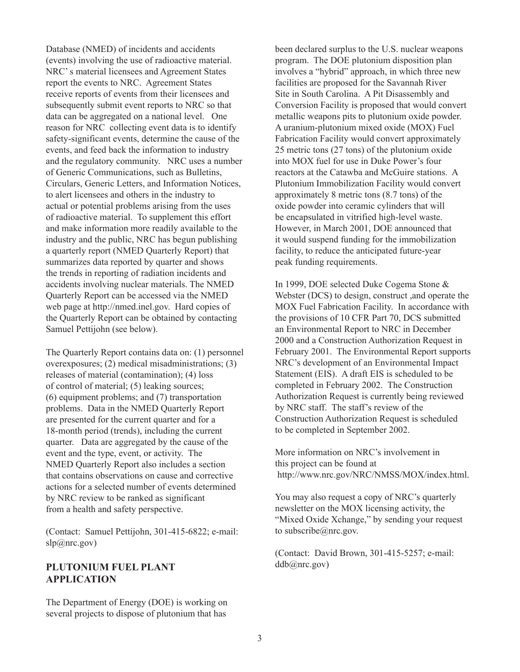Database (NMED) of incidents and accidents (events) involving the use of radioactive material. NRC' s material licensees and Agreement States report the events to NRC. Agreement States receive reports of events from their licensees and subsequently submit event reports to NRC so that data can be aggregated on a national level. One reason for NRC collecting event data is to identify safety-significant events, determine the cause of the events, and feed back the information to industry and the regulatory community. NRC uses a number of Generic Communications, such as Bulletins, Circulars, Generic Letters, and Information Notices, to alert licensees and others in the industry to actual or potential problems arising from the uses of radioactive material. To supplement this effort and make information more readily available to the industry and the public, NRC has begun publishing a quarterly report (NMED Quarterly Report) that summarizes data reported by quarter and shows the trends in reporting of radiation incidents and accidents involving nuclear materials. The NMED Quarterly Report can be accessed via the NMED web page at http://nmed.inel.gov. Hard copies of the Quarterly Report can be obtained by contacting Samuel Pettijohn (see below).

The Quarterly Report contains data on: (1) personnel overexposures; (2) medical misadministrations; (3) releases of material (contamination); (4) loss of control of material; (5) leaking sources; (6) equipment problems; and (7) transportation problems. Data in the NMED Quarterly Report are presented for the current quarter and for a 18-month period (trends), including the current quarter. Data are aggregated by the cause of the event and the type, event, or activity. The NMED Quarterly Report also includes a section that contains observations on cause and corrective actions for a selected number of events determined by NRC review to be ranked as significant from a health and safety perspective.

(Contact: Samuel Pettijohn, 301-415-6822; e-mail:  $\text{slp}(a)$ nrc.gov)

## **PLUTONIUM FUEL PLANT APPLICATION**

The Department of Energy (DOE) is working on several projects to dispose of plutonium that has

been declared surplus to the U.S. nuclear weapons program. The DOE plutonium disposition plan involves a "hybrid" approach, in which three new facilities are proposed for the Savannah River Site in South Carolina. A Pit Disassembly and Conversion Facility is proposed that would convert metallic weapons pits to plutonium oxide powder. A uranium-plutonium mixed oxide (MOX) Fuel Fabrication Facility would convert approximately 25 metric tons (27 tons) of the plutonium oxide into MOX fuel for use in Duke Power's four reactors at the Catawba and McGuire stations. A Plutonium Immobilization Facility would convert approximately 8 metric tons (8.7 tons) of the oxide powder into ceramic cylinders that will be encapsulated in vitrified high-level waste. However, in March 2001, DOE announced that it would suspend funding for the immobilization facility, to reduce the anticipated future-year peak funding requirements.

In 1999, DOE selected Duke Cogema Stone & Webster (DCS) to design, construct ,and operate the MOX Fuel Fabrication Facility. In accordance with the provisions of 10 CFR Part 70, DCS submitted an Environmental Report to NRC in December 2000 and a Construction Authorization Request in February 2001. The Environmental Report supports NRC's development of an Environmental Impact Statement (EIS). A draft EIS is scheduled to be completed in February 2002. The Construction Authorization Request is currently being reviewed by NRC staff. The staff's review of the Construction Authorization Request is scheduled to be completed in September 2002.

More information on NRC's involvement in this project can be found at http://www.nrc.gov/NRC/NMSS/MOX/index.html.

You may also request a copy of NRC's quarterly newsletter on the MOX licensing activity, the "Mixed Oxide Xchange," by sending your request to subscribe@nrc.gov.

(Contact: David Brown, 301-415-5257; e-mail: ddb@nrc.gov)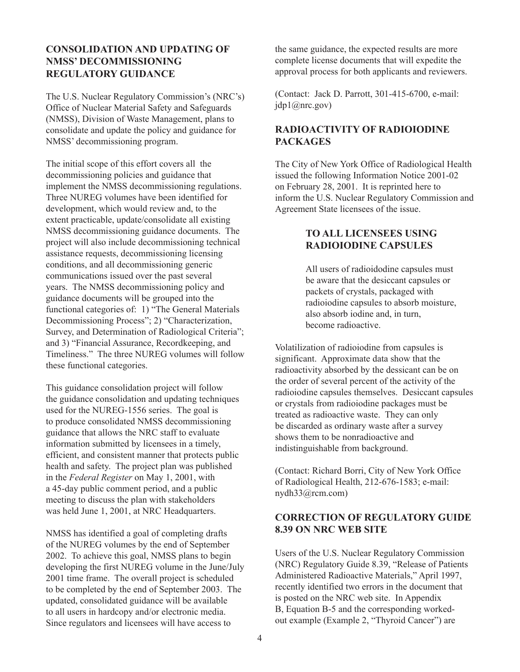## **CONSOLIDATION AND UPDATING OF NMSS' DECOMMISSIONING REGULATORY GUIDANCE**

The U.S. Nuclear Regulatory Commission's (NRC's) Office of Nuclear Material Safety and Safeguards (NMSS), Division of Waste Management, plans to consolidate and update the policy and guidance for NMSS' decommissioning program.

The initial scope of this effort covers all the decommissioning policies and guidance that implement the NMSS decommissioning regulations. Three NUREG volumes have been identified for development, which would review and, to the extent practicable, update/consolidate all existing NMSS decommissioning guidance documents. The project will also include decommissioning technical assistance requests, decommissioning licensing conditions, and all decommissioning generic communications issued over the past several years. The NMSS decommissioning policy and guidance documents will be grouped into the functional categories of: 1) "The General Materials Decommissioning Process"; 2) "Characterization, Survey, and Determination of Radiological Criteria"; and 3) "Financial Assurance, Recordkeeping, and Timeliness." The three NUREG volumes will follow these functional categories.

This guidance consolidation project will follow the guidance consolidation and updating techniques used for the NUREG-1556 series. The goal is to produce consolidated NMSS decommissioning guidance that allows the NRC staff to evaluate information submitted by licensees in a timely, efficient, and consistent manner that protects public health and safety. The project plan was published in the *Federal Register* on May 1, 2001, with a 45-day public comment period, and a public meeting to discuss the plan with stakeholders was held June 1, 2001, at NRC Headquarters.

NMSS has identified a goal of completing drafts of the NUREG volumes by the end of September 2002. To achieve this goal, NMSS plans to begin developing the first NUREG volume in the June/July 2001 time frame. The overall project is scheduled to be completed by the end of September 2003. The updated, consolidated guidance will be available to all users in hardcopy and/or electronic media. Since regulators and licensees will have access to

the same guidance, the expected results are more complete license documents that will expedite the approval process for both applicants and reviewers.

(Contact: Jack D. Parrott, 301-415-6700, e-mail: jdp1@nrc.gov)

# **RADIOACTIVITY OF RADIOIODINE PACKAGES**

The City of New York Office of Radiological Health issued the following Information Notice 2001-02 on February 28, 2001. It is reprinted here to inform the U.S. Nuclear Regulatory Commission and Agreement State licensees of the issue.

# **TO ALL LICENSEES USING RADIOIODINE CAPSULES**

All users of radioidodine capsules must be aware that the desiccant capsules or packets of crystals, packaged with radioiodine capsules to absorb moisture, also absorb iodine and, in turn, become radioactive.

Volatilization of radioiodine from capsules is significant. Approximate data show that the radioactivity absorbed by the dessicant can be on the order of several percent of the activity of the radioiodine capsules themselves. Desiccant capsules or crystals from radioiodine packages must be treated as radioactive waste. They can only be discarded as ordinary waste after a survey shows them to be nonradioactive and indistinguishable from background.

(Contact: Richard Borri, City of New York Office of Radiological Health, 212-676-1583; e-mail: nydh33@rcm.com)

# **CORRECTION OF REGULATORY GUIDE 8.39 ON NRC WEB SITE**

Users of the U.S. Nuclear Regulatory Commission (NRC) Regulatory Guide 8.39, "Release of Patients Administered Radioactive Materials," April 1997, recently identified two errors in the document that is posted on the NRC web site. In Appendix B, Equation B-5 and the corresponding workedout example (Example 2, "Thyroid Cancer") are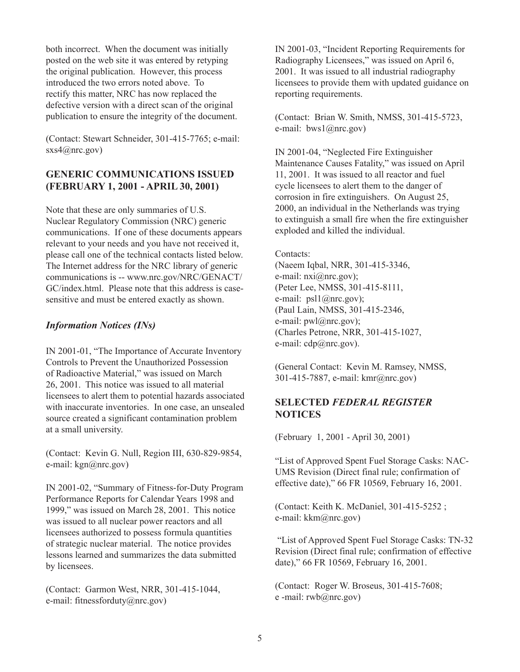both incorrect. When the document was initially posted on the web site it was entered by retyping the original publication. However, this process introduced the two errors noted above. To rectify this matter, NRC has now replaced the defective version with a direct scan of the original publication to ensure the integrity of the document.

(Contact: Stewart Schneider, 301-415-7765; e-mail: sxs4@nrc.gov)

## **GENERIC COMMUNICATIONS ISSUED (FEBRUARY 1, 2001 - APRIL 30, 2001)**

Note that these are only summaries of U.S. Nuclear Regulatory Commission (NRC) generic communications. If one of these documents appears relevant to your needs and you have not received it, please call one of the technical contacts listed below. The Internet address for the NRC library of generic communications is -- www.nrc.gov/NRC/GENACT/ GC/index.html. Please note that this address is casesensitive and must be entered exactly as shown.

## *Information Notices (INs)*

IN 2001-01, "The Importance of Accurate Inventory Controls to Prevent the Unauthorized Possession of Radioactive Material," was issued on March 26, 2001. This notice was issued to all material licensees to alert them to potential hazards associated with inaccurate inventories. In one case, an unsealed source created a significant contamination problem at a small university.

(Contact: Kevin G. Null, Region III, 630-829-9854, e-mail: kgn@nrc.gov)

IN 2001-02, "Summary of Fitness-for-Duty Program Performance Reports for Calendar Years 1998 and 1999," was issued on March 28, 2001. This notice was issued to all nuclear power reactors and all licensees authorized to possess formula quantities of strategic nuclear material. The notice provides lessons learned and summarizes the data submitted by licensees.

(Contact: Garmon West, NRR, 301-415-1044, e-mail: fitnessforduty@nrc.gov)

IN 2001-03, "Incident Reporting Requirements for Radiography Licensees," was issued on April 6, 2001. It was issued to all industrial radiography licensees to provide them with updated guidance on reporting requirements.

(Contact: Brian W. Smith, NMSS, 301-415-5723, e-mail: bws1@nrc.gov)

IN 2001-04, "Neglected Fire Extinguisher Maintenance Causes Fatality," was issued on April 11, 2001. It was issued to all reactor and fuel cycle licensees to alert them to the danger of corrosion in fire extinguishers. On August 25, 2000, an individual in the Netherlands was trying to extinguish a small fire when the fire extinguisher exploded and killed the individual.

#### Contacts<sup>-</sup>

(Naeem Iqbal, NRR, 301-415-3346, e-mail:  $nxi@nrc.gov$ ; (Peter Lee, NMSS, 301-415-8111, e-mail: psl1@nrc.gov); (Paul Lain, NMSS, 301-415-2346, e-mail:  $pwl@nrc.gov$ ; (Charles Petrone, NRR, 301-415-1027, e-mail: cdp@nrc.gov).

(General Contact: Kevin M. Ramsey, NMSS, 301-415-7887, e-mail: kmr@nrc.gov)

# **SELECTED** *FEDERAL REGISTER* **NOTICES**

(February 1, 2001 - April 30, 2001)

"List of Approved Spent Fuel Storage Casks: NAC-UMS Revision (Direct final rule; confirmation of effective date)," 66 FR 10569, February 16, 2001.

(Contact: Keith K. McDaniel, 301-415-5252 ; e-mail: kkm@nrc.gov)

 "List of Approved Spent Fuel Storage Casks: TN-32 Revision (Direct final rule; confirmation of effective date)," 66 FR 10569, February 16, 2001.

(Contact: Roger W. Broseus, 301-415-7608; e -mail: rwb@nrc.gov)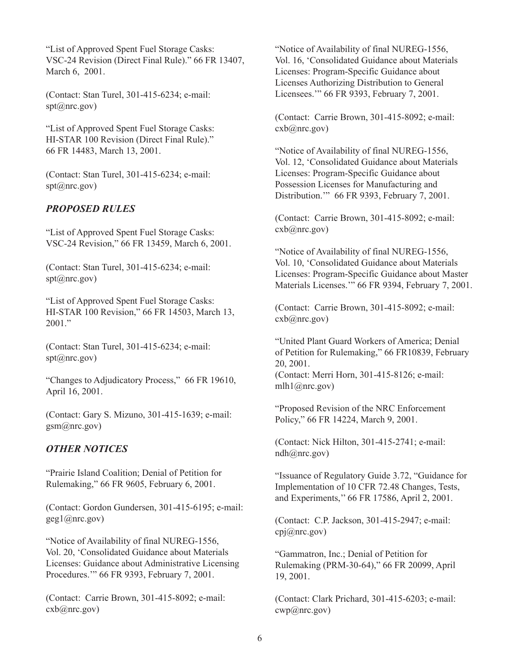"List of Approved Spent Fuel Storage Casks: VSC-24 Revision (Direct Final Rule)." 66 FR 13407, March 6, 2001.

(Contact: Stan Turel, 301-415-6234; e-mail: spt@nrc.gov)

"List of Approved Spent Fuel Storage Casks: HI-STAR 100 Revision (Direct Final Rule)." 66 FR 14483, March 13, 2001.

(Contact: Stan Turel, 301-415-6234; e-mail:  $spt(\omega$ nrc.gov)

## *PROPOSED RULES*

"List of Approved Spent Fuel Storage Casks: VSC-24 Revision," 66 FR 13459, March 6, 2001.

(Contact: Stan Turel, 301-415-6234; e-mail:  $spt(\omega$ nrc.gov)

"List of Approved Spent Fuel Storage Casks: HI-STAR 100 Revision," 66 FR 14503, March 13, 2001."

(Contact: Stan Turel, 301-415-6234; e-mail:  $spt(\omega$ nrc.gov)

"Changes to Adjudicatory Process," 66 FR 19610, April 16, 2001.

(Contact: Gary S. Mizuno, 301-415-1639; e-mail: gsm@nrc.gov)

## *OTHER NOTICES*

"Prairie Island Coalition; Denial of Petition for Rulemaking," 66 FR 9605, February 6, 2001.

(Contact: Gordon Gundersen, 301-415-6195; e-mail: geg1@nrc.gov)

"Notice of Availability of final NUREG-1556, Vol. 20, 'Consolidated Guidance about Materials Licenses: Guidance about Administrative Licensing Procedures.'" 66 FR 9393, February 7, 2001.

(Contact: Carrie Brown, 301-415-8092; e-mail:  $\exp(a)$ nrc.gov)

"Notice of Availability of final NUREG-1556, Vol. 16, 'Consolidated Guidance about Materials Licenses: Program-Specific Guidance about Licenses Authorizing Distribution to General Licensees.'" 66 FR 9393, February 7, 2001.

(Contact: Carrie Brown, 301-415-8092; e-mail: cxb@nrc.gov)

"Notice of Availability of final NUREG-1556, Vol. 12, 'Consolidated Guidance about Materials Licenses: Program-Specific Guidance about Possession Licenses for Manufacturing and Distribution.'" 66 FR 9393, February 7, 2001.

(Contact: Carrie Brown, 301-415-8092; e-mail: cxb@nrc.gov)

"Notice of Availability of final NUREG-1556, Vol. 10, 'Consolidated Guidance about Materials Licenses: Program-Specific Guidance about Master Materials Licenses.'" 66 FR 9394, February 7, 2001.

(Contact: Carrie Brown, 301-415-8092; e-mail: cxb@nrc.gov)

"United Plant Guard Workers of America; Denial of Petition for Rulemaking," 66 FR10839, February 20, 2001. (Contact: Merri Horn, 301-415-8126; e-mail:

"Proposed Revision of the NRC Enforcement Policy," 66 FR 14224, March 9, 2001.

mlh $1$ ( $\widehat{a}$ ) and  $\widehat{a}$ ( $\widehat{a}$ )  $\widehat{b}$ 

(Contact: Nick Hilton, 301-415-2741; e-mail: ndh@nrc.gov)

"Issuance of Regulatory Guide 3.72, "Guidance for Implementation of 10 CFR 72.48 Changes, Tests, and Experiments,'' 66 FR 17586, April 2, 2001.

(Contact: C.P. Jackson, 301-415-2947; e-mail: cpj@nrc.gov)

"Gammatron, Inc.; Denial of Petition for Rulemaking (PRM-30-64)," 66 FR 20099, April 19, 2001.

(Contact: Clark Prichard, 301-415-6203; e-mail: cwp@nrc.gov)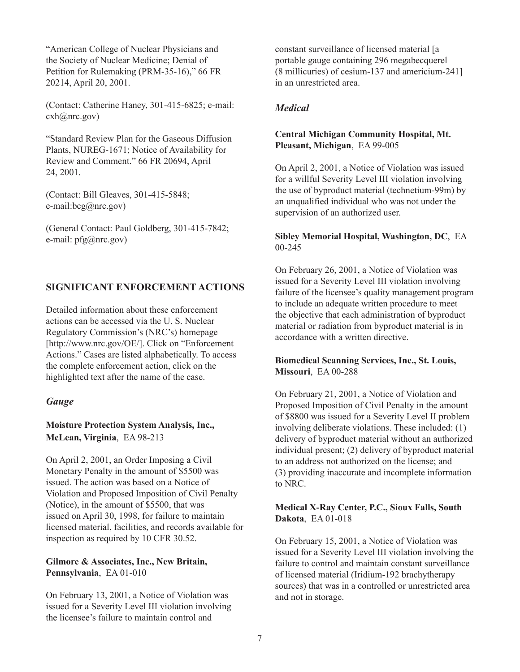"American College of Nuclear Physicians and the Society of Nuclear Medicine; Denial of Petition for Rulemaking (PRM-35-16)," 66 FR 20214, April 20, 2001.

(Contact: Catherine Haney, 301-415-6825; e-mail: cxh@nrc.gov)

"Standard Review Plan for the Gaseous Diffusion Plants, NUREG-1671; Notice of Availability for Review and Comment." 66 FR 20694, April 24, 2001.

(Contact: Bill Gleaves, 301-415-5848; e-mail:bcg@nrc.gov)

(General Contact: Paul Goldberg, 301-415-7842; e-mail: pfg@nrc.gov)

# **SIGNIFICANT ENFORCEMENT ACTIONS**

Detailed information about these enforcement actions can be accessed via the U. S. Nuclear Regulatory Commission's (NRC's) homepage [http://www.nrc.gov/OE/]. Click on "Enforcement Actions." Cases are listed alphabetically. To access the complete enforcement action, click on the highlighted text after the name of the case.

## *Gauge*

## **Moisture Protection System Analysis, Inc., McLean, Virginia**, EA 98-213

On April 2, 2001, an Order Imposing a Civil Monetary Penalty in the amount of \$5500 was issued. The action was based on a Notice of Violation and Proposed Imposition of Civil Penalty (Notice), in the amount of \$5500, that was issued on April 30, 1998, for failure to maintain licensed material, facilities, and records available for inspection as required by 10 CFR 30.52.

#### **Gilmore & Associates, Inc., New Britain, Pennsylvania**, EA 01-010

On February 13, 2001, a Notice of Violation was issued for a Severity Level III violation involving the licensee's failure to maintain control and

constant surveillance of licensed material [a portable gauge containing 296 megabecquerel (8 millicuries) of cesium-137 and americium-241] in an unrestricted area.

## *Medical*

## **Central Michigan Community Hospital, Mt. Pleasant, Michigan**, EA 99-005

On April 2, 2001, a Notice of Violation was issued for a willful Severity Level III violation involving the use of byproduct material (technetium-99m) by an unqualified individual who was not under the supervision of an authorized user.

#### **Sibley Memorial Hospital, Washington, DC**, EA 00-245

On February 26, 2001, a Notice of Violation was issued for a Severity Level III violation involving failure of the licensee's quality management program to include an adequate written procedure to meet the objective that each administration of byproduct material or radiation from byproduct material is in accordance with a written directive.

## **Biomedical Scanning Services, Inc., St. Louis, Missouri**, EA 00-288

On February 21, 2001, a Notice of Violation and Proposed Imposition of Civil Penalty in the amount of \$8800 was issued for a Severity Level II problem involving deliberate violations. These included: (1) delivery of byproduct material without an authorized individual present; (2) delivery of byproduct material to an address not authorized on the license; and (3) providing inaccurate and incomplete information to NRC.

#### **Medical X-Ray Center, P.C., Sioux Falls, South Dakota**, EA 01-018

On February 15, 2001, a Notice of Violation was issued for a Severity Level III violation involving the failure to control and maintain constant surveillance of licensed material (Iridium-192 brachytherapy sources) that was in a controlled or unrestricted area and not in storage.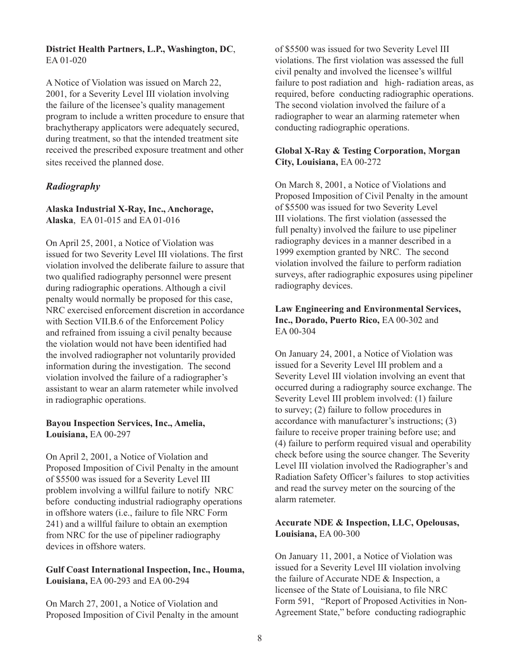#### **District Health Partners, L.P., Washington, DC**, EA 01-020

A Notice of Violation was issued on March 22, 2001, for a Severity Level III violation involving the failure of the licensee's quality management program to include a written procedure to ensure that brachytherapy applicators were adequately secured, during treatment, so that the intended treatment site received the prescribed exposure treatment and other sites received the planned dose.

## *Radiography*

#### **Alaska Industrial X-Ray, Inc., Anchorage, Alaska**, EA 01-015 and EA 01-016

On April 25, 2001, a Notice of Violation was issued for two Severity Level III violations. The first violation involved the deliberate failure to assure that two qualified radiography personnel were present during radiographic operations. Although a civil penalty would normally be proposed for this case, NRC exercised enforcement discretion in accordance with Section VII.B.6 of the Enforcement Policy and refrained from issuing a civil penalty because the violation would not have been identified had the involved radiographer not voluntarily provided information during the investigation. The second violation involved the failure of a radiographer's assistant to wear an alarm ratemeter while involved in radiographic operations.

#### **Bayou Inspection Services, Inc., Amelia, Louisiana,** EA 00-297

On April 2, 2001, a Notice of Violation and Proposed Imposition of Civil Penalty in the amount of \$5500 was issued for a Severity Level III problem involving a willful failure to notify NRC before conducting industrial radiography operations in offshore waters (i.e., failure to file NRC Form 241) and a willful failure to obtain an exemption from NRC for the use of pipeliner radiography devices in offshore waters.

#### **Gulf Coast International Inspection, Inc., Houma, Louisiana,** EA 00-293 and EA 00-294

On March 27, 2001, a Notice of Violation and Proposed Imposition of Civil Penalty in the amount of \$5500 was issued for two Severity Level III violations. The first violation was assessed the full civil penalty and involved the licensee's willful failure to post radiation and high- radiation areas, as required, before conducting radiographic operations. The second violation involved the failure of a radiographer to wear an alarming ratemeter when conducting radiographic operations.

#### **Global X-Ray & Testing Corporation, Morgan City, Louisiana,** EA 00-272

On March 8, 2001, a Notice of Violations and Proposed Imposition of Civil Penalty in the amount of \$5500 was issued for two Severity Level III violations. The first violation (assessed the full penalty) involved the failure to use pipeliner radiography devices in a manner described in a 1999 exemption granted by NRC. The second violation involved the failure to perform radiation surveys, after radiographic exposures using pipeliner radiography devices.

## **Law Engineering and Environmental Services, Inc., Dorado, Puerto Rico,** EA 00-302 and EA 00-304

On January 24, 2001, a Notice of Violation was issued for a Severity Level III problem and a Severity Level III violation involving an event that occurred during a radiography source exchange. The Severity Level III problem involved: (1) failure to survey; (2) failure to follow procedures in accordance with manufacturer's instructions; (3) failure to receive proper training before use; and (4) failure to perform required visual and operability check before using the source changer. The Severity Level III violation involved the Radiographer's and Radiation Safety Officer's failures to stop activities and read the survey meter on the sourcing of the alarm ratemeter.

#### **Accurate NDE & Inspection, LLC, Opelousas, Louisiana,** EA 00-300

On January 11, 2001, a Notice of Violation was issued for a Severity Level III violation involving the failure of Accurate NDE & Inspection, a licensee of the State of Louisiana, to file NRC Form 591, "Report of Proposed Activities in Non-Agreement State," before conducting radiographic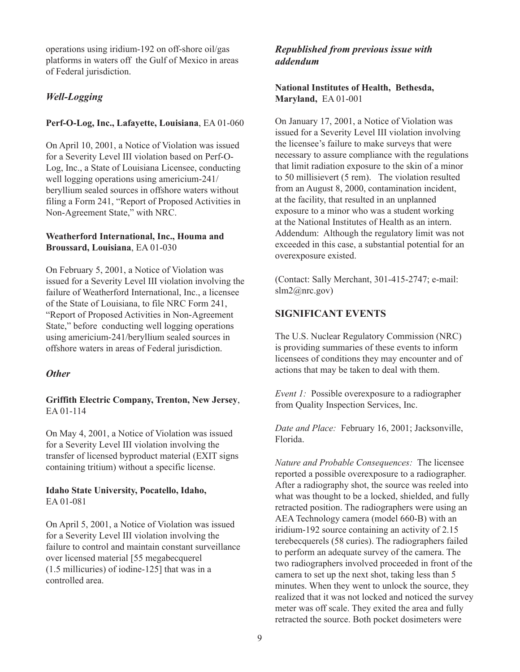operations using iridium-192 on off-shore oil/gas platforms in waters off the Gulf of Mexico in areas of Federal jurisdiction.

## *Well-Logging*

#### **Perf-O-Log, Inc., Lafayette, Louisiana**, EA 01-060

On April 10, 2001, a Notice of Violation was issued for a Severity Level III violation based on Perf-O-Log, Inc., a State of Louisiana Licensee, conducting well logging operations using americium-241/ beryllium sealed sources in offshore waters without filing a Form 241, "Report of Proposed Activities in Non-Agreement State," with NRC.

#### **Weatherford International, Inc., Houma and Broussard, Louisiana**, EA 01-030

On February 5, 2001, a Notice of Violation was issued for a Severity Level III violation involving the failure of Weatherford International, Inc., a licensee of the State of Louisiana, to file NRC Form 241, "Report of Proposed Activities in Non-Agreement State," before conducting well logging operations using americium-241/beryllium sealed sources in offshore waters in areas of Federal jurisdiction.

## *Other*

**Griffith Electric Company, Trenton, New Jersey**, EA 01-114

On May 4, 2001, a Notice of Violation was issued for a Severity Level III violation involving the transfer of licensed byproduct material (EXIT signs containing tritium) without a specific license.

#### **Idaho State University, Pocatello, Idaho,** EA 01-081

On April 5, 2001, a Notice of Violation was issued for a Severity Level III violation involving the failure to control and maintain constant surveillance over licensed material [55 megabecquerel (1.5 millicuries) of iodine-125] that was in a controlled area.

## *Republished from previous issue with addendum*

**National Institutes of Health, Bethesda, Maryland,** EA 01-001

On January 17, 2001, a Notice of Violation was issued for a Severity Level III violation involving the licensee's failure to make surveys that were necessary to assure compliance with the regulations that limit radiation exposure to the skin of a minor to 50 millisievert (5 rem). The violation resulted from an August 8, 2000, contamination incident, at the facility, that resulted in an unplanned exposure to a minor who was a student working at the National Institutes of Health as an intern. Addendum: Although the regulatory limit was not exceeded in this case, a substantial potential for an overexposure existed.

(Contact: Sally Merchant, 301-415-2747; e-mail: slm2@nrc.gov)

## **SIGNIFICANT EVENTS**

The U.S. Nuclear Regulatory Commission (NRC) is providing summaries of these events to inform licensees of conditions they may encounter and of actions that may be taken to deal with them.

*Event 1:* Possible overexposure to a radiographer from Quality Inspection Services, Inc.

*Date and Place:* February 16, 2001; Jacksonville, Florida.

*Nature and Probable Consequences:* The licensee reported a possible overexposure to a radiographer. After a radiography shot, the source was reeled into what was thought to be a locked, shielded, and fully retracted position. The radiographers were using an AEA Technology camera (model 660-B) with an iridium-192 source containing an activity of 2.15 terebecquerels (58 curies). The radiographers failed to perform an adequate survey of the camera. The two radiographers involved proceeded in front of the camera to set up the next shot, taking less than 5 minutes. When they went to unlock the source, they realized that it was not locked and noticed the survey meter was off scale. They exited the area and fully retracted the source. Both pocket dosimeters were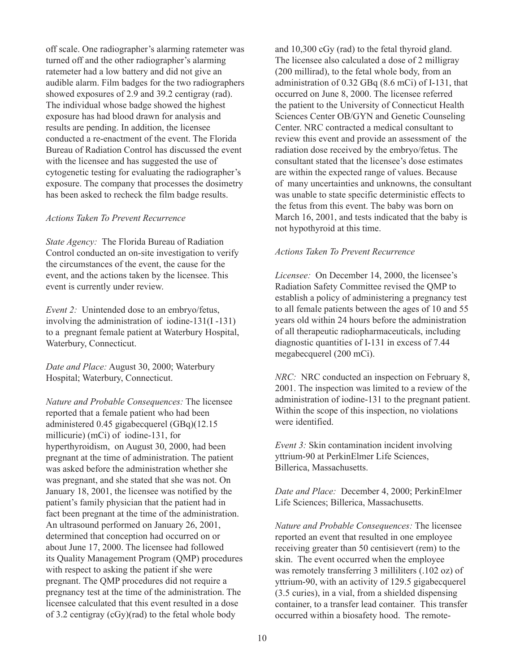off scale. One radiographer's alarming ratemeter was turned off and the other radiographer's alarming ratemeter had a low battery and did not give an audible alarm. Film badges for the two radiographers showed exposures of 2.9 and 39.2 centigray (rad). The individual whose badge showed the highest exposure has had blood drawn for analysis and results are pending. In addition, the licensee conducted a re-enactment of the event. The Florida Bureau of Radiation Control has discussed the event with the licensee and has suggested the use of cytogenetic testing for evaluating the radiographer's exposure. The company that processes the dosimetry has been asked to recheck the film badge results.

#### *Actions Taken To Prevent Recurrence*

*State Agency:* The Florida Bureau of Radiation Control conducted an on-site investigation to verify the circumstances of the event, the cause for the event, and the actions taken by the licensee. This event is currently under review.

*Event 2:* Unintended dose to an embryo/fetus, involving the administration of iodine-131(I -131) to a pregnant female patient at Waterbury Hospital, Waterbury, Connecticut.

*Date and Place:* August 30, 2000; Waterbury Hospital; Waterbury, Connecticut.

*Nature and Probable Consequences:* The licensee reported that a female patient who had been administered 0.45 gigabecquerel (GBq)(12.15 millicurie) (mCi) of iodine-131, for hyperthyroidism, on August 30, 2000, had been pregnant at the time of administration. The patient was asked before the administration whether she was pregnant, and she stated that she was not. On January 18, 2001, the licensee was notified by the patient's family physician that the patient had in fact been pregnant at the time of the administration. An ultrasound performed on January 26, 2001, determined that conception had occurred on or about June 17, 2000. The licensee had followed its Quality Management Program (QMP) procedures with respect to asking the patient if she were pregnant. The QMP procedures did not require a pregnancy test at the time of the administration. The licensee calculated that this event resulted in a dose of 3.2 centigray (cGy)(rad) to the fetal whole body

and 10,300 cGy (rad) to the fetal thyroid gland. The licensee also calculated a dose of 2 milligray (200 millirad), to the fetal whole body, from an administration of 0.32 GBq (8.6 mCi) of I-131, that occurred on June 8, 2000. The licensee referred the patient to the University of Connecticut Health Sciences Center OB/GYN and Genetic Counseling Center. NRC contracted a medical consultant to review this event and provide an assessment of the radiation dose received by the embryo/fetus. The consultant stated that the licensee's dose estimates are within the expected range of values. Because of many uncertainties and unknowns, the consultant was unable to state specific deterministic effects to the fetus from this event. The baby was born on March 16, 2001, and tests indicated that the baby is not hypothyroid at this time.

#### *Actions Taken To Prevent Recurrence*

*Licensee:* On December 14, 2000, the licensee's Radiation Safety Committee revised the QMP to establish a policy of administering a pregnancy test to all female patients between the ages of 10 and 55 years old within 24 hours before the administration of all therapeutic radiopharmaceuticals, including diagnostic quantities of I-131 in excess of 7.44 megabecquerel (200 mCi).

*NRC:* NRC conducted an inspection on February 8, 2001. The inspection was limited to a review of the administration of iodine-131 to the pregnant patient. Within the scope of this inspection, no violations were identified.

*Event 3:* Skin contamination incident involving yttrium-90 at PerkinElmer Life Sciences, Billerica, Massachusetts.

*Date and Place:* December 4, 2000; PerkinElmer Life Sciences; Billerica, Massachusetts.

*Nature and Probable Consequences:* The licensee reported an event that resulted in one employee receiving greater than 50 centisievert (rem) to the skin. The event occurred when the employee was remotely transferring 3 milliliters (.102 oz) of yttrium-90, with an activity of 129.5 gigabecquerel (3.5 curies), in a vial, from a shielded dispensing container, to a transfer lead container. This transfer occurred within a biosafety hood. The remote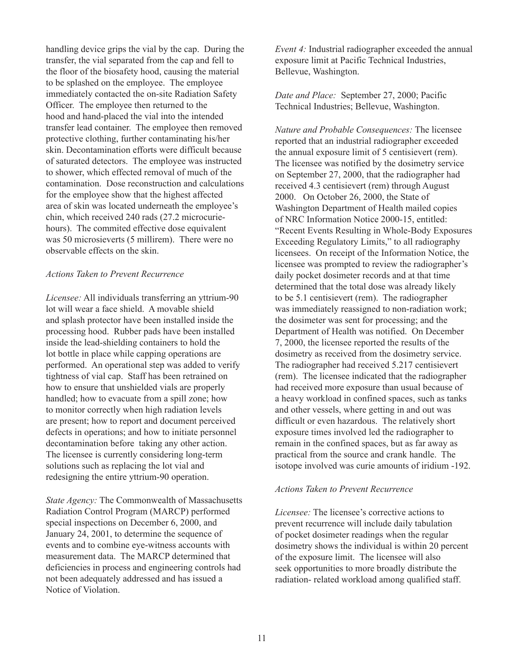handling device grips the vial by the cap. During the transfer, the vial separated from the cap and fell to the floor of the biosafety hood, causing the material to be splashed on the employee. The employee immediately contacted the on-site Radiation Safety Officer. The employee then returned to the hood and hand-placed the vial into the intended transfer lead container. The employee then removed protective clothing, further contaminating his/her skin. Decontamination efforts were difficult because of saturated detectors. The employee was instructed to shower, which effected removal of much of the contamination. Dose reconstruction and calculations for the employee show that the highest affected area of skin was located underneath the employee's chin, which received 240 rads (27.2 microcuriehours). The commited effective dose equivalent was 50 microsieverts (5 millirem). There were no observable effects on the skin.

#### *Actions Taken to Prevent Recurrence*

*Licensee:* All individuals transferring an yttrium-90 lot will wear a face shield. A movable shield and splash protector have been installed inside the processing hood. Rubber pads have been installed inside the lead-shielding containers to hold the lot bottle in place while capping operations are performed. An operational step was added to verify tightness of vial cap. Staff has been retrained on how to ensure that unshielded vials are properly handled; how to evacuate from a spill zone; how to monitor correctly when high radiation levels are present; how to report and document perceived defects in operations; and how to initiate personnel decontamination before taking any other action. The licensee is currently considering long-term solutions such as replacing the lot vial and redesigning the entire yttrium-90 operation.

*State Agency:* The Commonwealth of Massachusetts Radiation Control Program (MARCP) performed special inspections on December 6, 2000, and January 24, 2001, to determine the sequence of events and to combine eye-witness accounts with measurement data. The MARCP determined that deficiencies in process and engineering controls had not been adequately addressed and has issued a Notice of Violation.

*Event 4:* Industrial radiographer exceeded the annual exposure limit at Pacific Technical Industries, Bellevue, Washington.

*Date and Place:* September 27, 2000; Pacific Technical Industries; Bellevue, Washington.

*Nature and Probable Consequences:* The licensee reported that an industrial radiographer exceeded the annual exposure limit of 5 centisievert (rem). The licensee was notified by the dosimetry service on September 27, 2000, that the radiographer had received 4.3 centisievert (rem) through August 2000. On October 26, 2000, the State of Washington Department of Health mailed copies of NRC Information Notice 2000-15, entitled: "Recent Events Resulting in Whole-Body Exposures Exceeding Regulatory Limits," to all radiography licensees. On receipt of the Information Notice, the licensee was prompted to review the radiographer's daily pocket dosimeter records and at that time determined that the total dose was already likely to be 5.1 centisievert (rem). The radiographer was immediately reassigned to non-radiation work; the dosimeter was sent for processing; and the Department of Health was notified. On December 7, 2000, the licensee reported the results of the dosimetry as received from the dosimetry service. The radiographer had received 5.217 centisievert (rem). The licensee indicated that the radiographer had received more exposure than usual because of a heavy workload in confined spaces, such as tanks and other vessels, where getting in and out was difficult or even hazardous. The relatively short exposure times involved led the radiographer to remain in the confined spaces, but as far away as practical from the source and crank handle. The isotope involved was curie amounts of iridium -192.

#### *Actions Taken to Prevent Recurrence*

*Licensee:* The licensee's corrective actions to prevent recurrence will include daily tabulation of pocket dosimeter readings when the regular dosimetry shows the individual is within 20 percent of the exposure limit. The licensee will also seek opportunities to more broadly distribute the radiation- related workload among qualified staff.